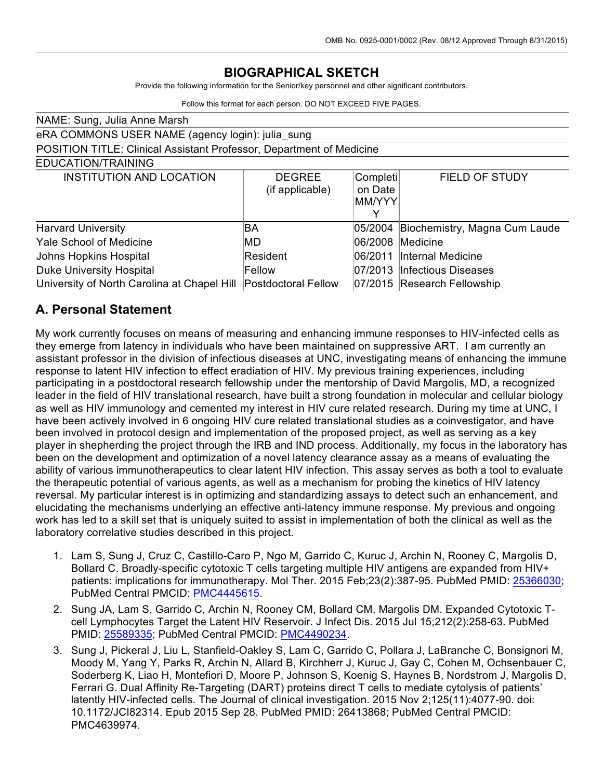# **BIOGRAPHICAL SKETCH**

Provide the following information for the Senior/key personnel and other significant contributors.

Follow this format for each person. DO NOT EXCEED FIVE PAGES.

| NAME: Sung, Julia Anne Marsh                                         |                                  |                                    |                                       |  |  |
|----------------------------------------------------------------------|----------------------------------|------------------------------------|---------------------------------------|--|--|
| eRA COMMONS USER NAME (agency login): julia_sung                     |                                  |                                    |                                       |  |  |
| POSITION TITLE: Clinical Assistant Professor, Department of Medicine |                                  |                                    |                                       |  |  |
| EDUCATION/TRAINING                                                   |                                  |                                    |                                       |  |  |
| <b>INSTITUTION AND LOCATION</b>                                      | <b>DEGREE</b><br>(if applicable) | Completi<br>on Date<br>MM/YYY<br>v | <b>FIELD OF STUDY</b>                 |  |  |
| <b>Harvard University</b>                                            | ΒA                               |                                    | 05/2004 Biochemistry, Magna Cum Laude |  |  |
| <b>Yale School of Medicine</b>                                       | <b>IMD</b>                       | 06/2008                            | <b>Medicine</b>                       |  |  |
| Johns Hopkins Hospital                                               | Resident                         | 06/2011                            | Internal Medicine                     |  |  |
| <b>Duke University Hospital</b>                                      | Fellow                           |                                    | 07/2013 Infectious Diseases           |  |  |
| University of North Carolina at Chapel Hill                          | Postdoctoral Fellow              |                                    | 07/2015 Research Fellowship           |  |  |

## **A. Personal Statement**

My work currently focuses on means of measuring and enhancing immune responses to HIV-infected cells as they emerge from latency in individuals who have been maintained on suppressive ART. I am currently an assistant professor in the division of infectious diseases at UNC, investigating means of enhancing the immune response to latent HIV infection to effect eradiation of HIV. My previous training experiences, including participating in a postdoctoral research fellowship under the mentorship of David Margolis, MD, a recognized leader in the field of HIV translational research, have built a strong foundation in molecular and cellular biology as well as HIV immunology and cemented my interest in HIV cure related research. During my time at UNC, I have been actively involved in 6 ongoing HIV cure related translational studies as a coinvestigator, and have been involved in protocol design and implementation of the proposed project, as well as serving as a key player in shepherding the project through the IRB and IND process. Additionally, my focus in the laboratory has been on the development and optimization of a novel latency clearance assay as a means of evaluating the ability of various immunotherapeutics to clear latent HIV infection. This assay serves as both a tool to evaluate the therapeutic potential of various agents, as well as a mechanism for probing the kinetics of HIV latency reversal. My particular interest is in optimizing and standardizing assays to detect such an enhancement, and elucidating the mechanisms underlying an effective anti-latency immune response. My previous and ongoing work has led to a skill set that is uniquely suited to assist in implementation of both the clinical as well as the laboratory correlative studies described in this project.

- 1. Lam S, Sung J, Cruz C, Castillo-Caro P, Ngo M, Garrido C, Kuruc J, Archin N, Rooney C, Margolis D, Bollard C. Broadly-specific cytotoxic T cells targeting multiple HIV antigens are expanded from HIV+ patients: implications for immunotherapy. Mol Ther. 2015 Feb;23(2):387-95. PubMed PMID: 25366030; PubMed Central PMCID: PMC4445615.
- 2. Sung JA, Lam S, Garrido C, Archin N, Rooney CM, Bollard CM, Margolis DM. Expanded Cytotoxic Tcell Lymphocytes Target the Latent HIV Reservoir. J Infect Dis. 2015 Jul 15;212(2):258-63. PubMed PMID: 25589335; PubMed Central PMCID: PMC4490234.
- 3. Sung J, Pickeral J, Liu L, Stanfield-Oakley S, Lam C, Garrido C, Pollara J, LaBranche C, Bonsignori M, Moody M, Yang Y, Parks R, Archin N, Allard B, Kirchherr J, Kuruc J, Gay C, Cohen M, Ochsenbauer C, Soderberg K, Liao H, Montefiori D, Moore P, Johnson S, Koenig S, Haynes B, Nordstrom J, Margolis D, Ferrari G. Dual Affinity Re-Targeting (DART) proteins direct T cells to mediate cytolysis of patients' latently HIV-infected cells. The Journal of clinical investigation. 2015 Nov 2;125(11):4077-90. doi: 10.1172/JCI82314. Epub 2015 Sep 28. PubMed PMID: 26413868; PubMed Central PMCID: PMC4639974.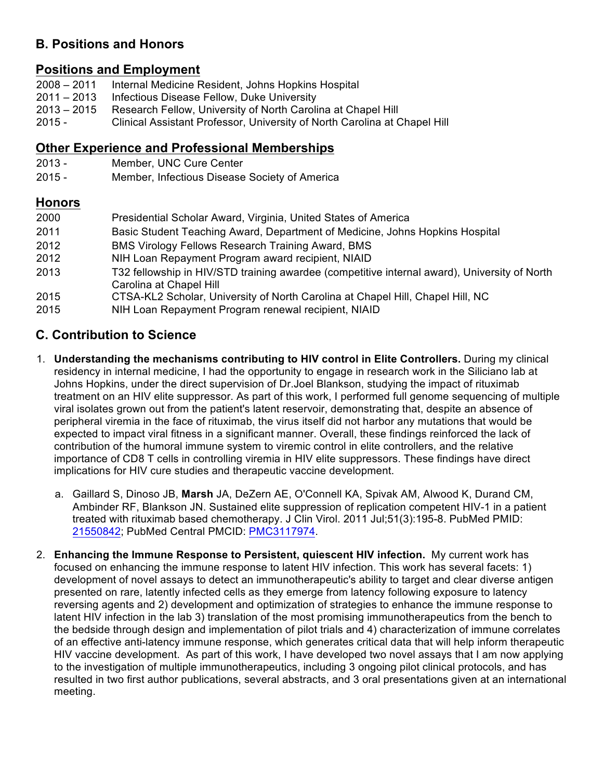## **B. Positions and Honors**

## **Positions and Employment**

- 2008 2011 Internal Medicine Resident, Johns Hopkins Hospital
- $2011 2013$ Infectious Disease Fellow, Duke University
- 2013 2015 Research Fellow, University of North Carolina at Chapel Hill
- 2015 Clinical Assistant Professor, University of North Carolina at Chapel Hill

## **Other Experience and Professional Memberships**

- 2013 Member, UNC Cure Center
- 2015 Member, Infectious Disease Society of America

#### **Honors**

| 2000 | Presidential Scholar Award, Virginia, United States of America                                                          |
|------|-------------------------------------------------------------------------------------------------------------------------|
| 2011 | Basic Student Teaching Award, Department of Medicine, Johns Hopkins Hospital                                            |
| 2012 | BMS Virology Fellows Research Training Award, BMS                                                                       |
| 2012 | NIH Loan Repayment Program award recipient, NIAID                                                                       |
| 2013 | T32 fellowship in HIV/STD training awardee (competitive internal award), University of North<br>Carolina at Chapel Hill |
| 2015 | CTSA-KL2 Scholar, University of North Carolina at Chapel Hill, Chapel Hill, NC                                          |
| 2015 | NIH Loan Repayment Program renewal recipient, NIAID                                                                     |

# **C. Contribution to Science**

- 1. **Understanding the mechanisms contributing to HIV control in Elite Controllers.** During my clinical residency in internal medicine, I had the opportunity to engage in research work in the Siliciano lab at Johns Hopkins, under the direct supervision of Dr.Joel Blankson, studying the impact of rituximab treatment on an HIV elite suppressor. As part of this work, I performed full genome sequencing of multiple viral isolates grown out from the patient's latent reservoir, demonstrating that, despite an absence of peripheral viremia in the face of rituximab, the virus itself did not harbor any mutations that would be expected to impact viral fitness in a significant manner. Overall, these findings reinforced the lack of contribution of the humoral immune system to viremic control in elite controllers, and the relative importance of CD8 T cells in controlling viremia in HIV elite suppressors. These findings have direct implications for HIV cure studies and therapeutic vaccine development.
	- a. Gaillard S, Dinoso JB, **Marsh** JA, DeZern AE, O'Connell KA, Spivak AM, Alwood K, Durand CM, Ambinder RF, Blankson JN. Sustained elite suppression of replication competent HIV-1 in a patient treated with rituximab based chemotherapy. J Clin Virol. 2011 Jul;51(3):195-8. PubMed PMID: 21550842; PubMed Central PMCID: PMC3117974.
- 2. **Enhancing the Immune Response to Persistent, quiescent HIV infection.** My current work has focused on enhancing the immune response to latent HIV infection. This work has several facets: 1) development of novel assays to detect an immunotherapeutic's ability to target and clear diverse antigen presented on rare, latently infected cells as they emerge from latency following exposure to latency reversing agents and 2) development and optimization of strategies to enhance the immune response to latent HIV infection in the lab 3) translation of the most promising immunotherapeutics from the bench to the bedside through design and implementation of pilot trials and 4) characterization of immune correlates of an effective anti-latency immune response, which generates critical data that will help inform therapeutic HIV vaccine development. As part of this work, I have developed two novel assays that I am now applying to the investigation of multiple immunotherapeutics, including 3 ongoing pilot clinical protocols, and has resulted in two first author publications, several abstracts, and 3 oral presentations given at an international meeting.